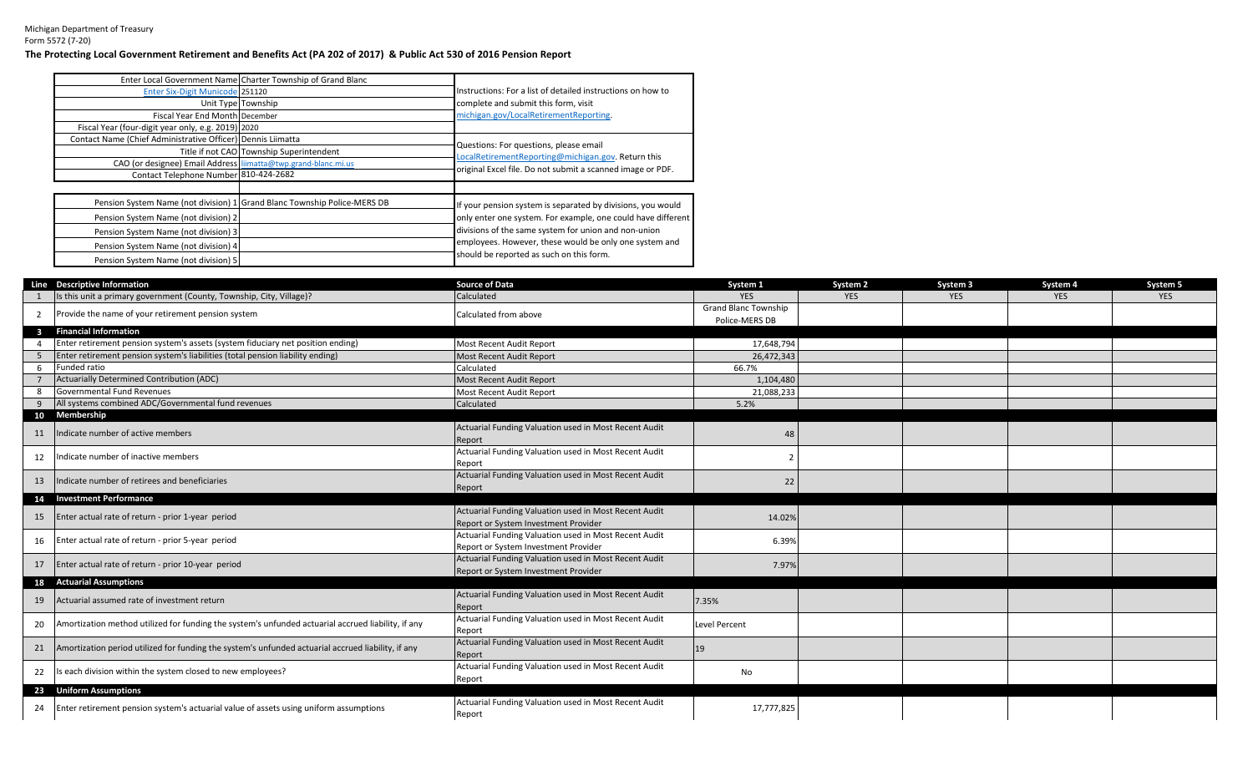## Michigan Department of Treasury Form 5572 (7-20) **The Protecting Local Government Retirement and Benefits Act (PA 202 of 2017) & Public Act 530 of 2016 Pension Report**

|                                                                | Enter Local Government Name Charter Township of Grand Blanc              |                                                              |
|----------------------------------------------------------------|--------------------------------------------------------------------------|--------------------------------------------------------------|
| <b>Enter Six-Digit Municode 251120</b>                         |                                                                          | Instructions: For a list of detailed instructions on how to  |
|                                                                | Unit Type Township                                                       | complete and submit this form, visit                         |
| Fiscal Year End Month December                                 |                                                                          | michigan.gov/LocalRetirementReporting.                       |
| Fiscal Year (four-digit year only, e.g. 2019) 2020             |                                                                          |                                                              |
| Contact Name (Chief Administrative Officer) Dennis Liimatta    |                                                                          | Questions: For questions, please email                       |
|                                                                | Title if not CAO Township Superintendent                                 | LocalRetirementReporting@michigan.gov. Return this           |
| CAO (or designee) Email Address liimatta@twp.grand-blanc.mi.us |                                                                          | original Excel file. Do not submit a scanned image or PDF.   |
| Contact Telephone Number 810-424-2682                          |                                                                          |                                                              |
|                                                                | Pension System Name (not division) 1 Grand Blanc Township Police-MERS DB | If your pension system is separated by divisions, you would  |
| Pension System Name (not division) 2                           |                                                                          | only enter one system. For example, one could have different |
| Pension System Name (not division) 3                           |                                                                          | divisions of the same system for union and non-union         |
| Pension System Name (not division) 4                           |                                                                          | employees. However, these would be only one system and       |
| Pension System Name (not division) 5                           |                                                                          | should be reported as such on this form.                     |

|              | Line Descriptive Information                                                                       | <b>Source of Data</b>                                 | System 1                    | System <sub>2</sub> | System 3   | System 4   | System 5   |
|--------------|----------------------------------------------------------------------------------------------------|-------------------------------------------------------|-----------------------------|---------------------|------------|------------|------------|
|              | Is this unit a primary government (County, Township, City, Village)?                               | Calculated                                            | <b>YES</b>                  | <b>YES</b>          | <b>YES</b> | <b>YES</b> | <b>YES</b> |
|              | Provide the name of your retirement pension system                                                 | Calculated from above                                 | <b>Grand Blanc Township</b> |                     |            |            |            |
|              |                                                                                                    |                                                       | Police-MERS DB              |                     |            |            |            |
| $\mathbf{3}$ | <b>Financial Information</b>                                                                       |                                                       |                             |                     |            |            |            |
|              | Enter retirement pension system's assets (system fiduciary net position ending)                    | Most Recent Audit Report                              | 17,648,794                  |                     |            |            |            |
|              | Enter retirement pension system's liabilities (total pension liability ending)                     | <b>Most Recent Audit Report</b>                       | 26,472,343                  |                     |            |            |            |
| 6            | Funded ratio                                                                                       | Calculated                                            | 66.7%                       |                     |            |            |            |
|              | <b>Actuarially Determined Contribution (ADC)</b>                                                   | <b>Most Recent Audit Report</b>                       | 1,104,480                   |                     |            |            |            |
|              | <b>Governmental Fund Revenues</b>                                                                  | Most Recent Audit Report                              | 21,088,233                  |                     |            |            |            |
|              | All systems combined ADC/Governmental fund revenues                                                | Calculated                                            | 5.2%                        |                     |            |            |            |
| 10           | Membership                                                                                         |                                                       |                             |                     |            |            |            |
| 11           | Indicate number of active members                                                                  | Actuarial Funding Valuation used in Most Recent Audit | 48                          |                     |            |            |            |
|              |                                                                                                    | Report                                                |                             |                     |            |            |            |
| 12           | Indicate number of inactive members                                                                | Actuarial Funding Valuation used in Most Recent Audit | $\overline{2}$              |                     |            |            |            |
|              |                                                                                                    | Report                                                |                             |                     |            |            |            |
| 13           | Indicate number of retirees and beneficiaries                                                      | Actuarial Funding Valuation used in Most Recent Audit | 22                          |                     |            |            |            |
|              |                                                                                                    | Report                                                |                             |                     |            |            |            |
|              | 14 Investment Performance                                                                          |                                                       |                             |                     |            |            |            |
| 15           | Enter actual rate of return - prior 1-year period                                                  | Actuarial Funding Valuation used in Most Recent Audit | 14.02%                      |                     |            |            |            |
|              |                                                                                                    | Report or System Investment Provider                  |                             |                     |            |            |            |
| 16           | Enter actual rate of return - prior 5-year period                                                  | Actuarial Funding Valuation used in Most Recent Audit | 6.39%                       |                     |            |            |            |
|              |                                                                                                    | Report or System Investment Provider                  |                             |                     |            |            |            |
| 17           | Enter actual rate of return - prior 10-year period                                                 | Actuarial Funding Valuation used in Most Recent Audit | 7.97%                       |                     |            |            |            |
|              |                                                                                                    | Report or System Investment Provider                  |                             |                     |            |            |            |
|              | 18 Actuarial Assumptions                                                                           |                                                       |                             |                     |            |            |            |
| 19           | Actuarial assumed rate of investment return                                                        | Actuarial Funding Valuation used in Most Recent Audit | 7.35%                       |                     |            |            |            |
|              |                                                                                                    | Report                                                |                             |                     |            |            |            |
| 20           | Amortization method utilized for funding the system's unfunded actuarial accrued liability, if any | Actuarial Funding Valuation used in Most Recent Audit | <b>Level Percent</b>        |                     |            |            |            |
|              |                                                                                                    | Report                                                |                             |                     |            |            |            |
| 21           | Amortization period utilized for funding the system's unfunded actuarial accrued liability, if any | Actuarial Funding Valuation used in Most Recent Audit | <sup>19</sup>               |                     |            |            |            |
|              |                                                                                                    | Report                                                |                             |                     |            |            |            |
| 22           | Is each division within the system closed to new employees?                                        | Actuarial Funding Valuation used in Most Recent Audit | No                          |                     |            |            |            |
|              |                                                                                                    | Report                                                |                             |                     |            |            |            |
|              | 23 Uniform Assumptions                                                                             |                                                       |                             |                     |            |            |            |
| 24           | Enter retirement pension system's actuarial value of assets using uniform assumptions              | Actuarial Funding Valuation used in Most Recent Audit | 17,777,825                  |                     |            |            |            |
|              |                                                                                                    | Report                                                |                             |                     |            |            |            |